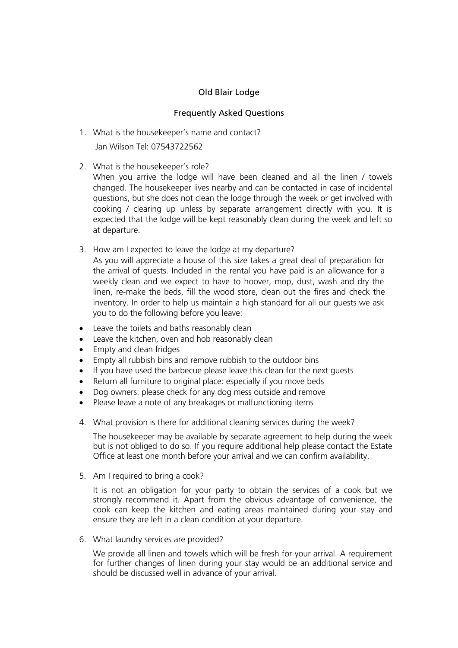## Old Blair Lodge

## Frequently Asked Questions

1. What is the housekeeper's name and contact?

Jan Wilson Tel: 07543722562

2. What is the housekeeper's role?

When you arrive the lodge will have been cleaned and all the linen / towels changed. The housekeeper lives nearby and can be contacted in case of incidental questions, but she does not clean the lodge through the week or get involved with cooking / clearing up unless by separate arrangement directly with you. It is expected that the lodge will be kept reasonably clean during the week and left so at departure.

3. How am I expected to leave the lodge at my departure?

As you will appreciate a house of this size takes a great deal of preparation for the arrival of guests. Included in the rental you have paid is an allowance for a weekly clean and we expect to have to hoover, mop, dust, wash and dry the linen, re-make the beds, fill the wood store, clean out the fires and check the inventory. In order to help us maintain a high standard for all our guests we ask you to do the following before you leave:

- Leave the toilets and baths reasonably clean
- Leave the kitchen, oven and hob reasonably clean
- Empty and clean fridges
- Empty all rubbish bins and remove rubbish to the outdoor bins
- If you have used the barbecue please leave this clean for the next guests
- Return all furniture to original place: especially if you move beds
- Dog owners: please check for any dog mess outside and remove
- Please leave a note of any breakages or malfunctioning items
- 4. What provision is there for additional cleaning services during the week?

The housekeeper may be available by separate agreement to help during the week but is not obliged to do so. If you require additional help please contact the Estate Office at least one month before your arrival and we can confirm availability.

5. Am I required to bring a cook?

It is not an obligation for your party to obtain the services of a cook but we strongly recommend it. Apart from the obvious advantage of convenience, the cook can keep the kitchen and eating areas maintained during your stay and ensure they are left in a clean condition at your departure.

6. What laundry services are provided?

We provide all linen and towels which will be fresh for your arrival. A requirement for further changes of linen during your stay would be an additional service and should be discussed well in advance of your arrival.